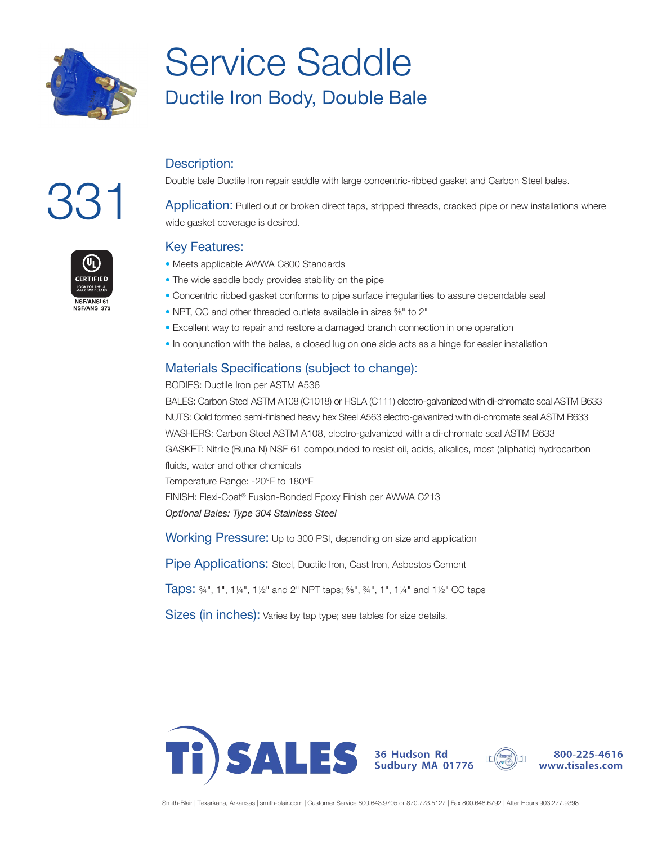

# Service Saddle Ductile Iron Body, Double Bale

#### Description:

Double bale Ductile Iron repair saddle with large concentric-ribbed gasket and Carbon Steel bales.

Application: Pulled out or broken direct taps, stripped threads, cracked pipe or new installations where wide gasket coverage is desired.

#### Key Features:

- Meets applicable AWWA C800 Standards
- The wide saddle body provides stability on the pipe
- Concentric ribbed gasket conforms to pipe surface irregularities to assure dependable seal
- NPT, CC and other threaded outlets available in sizes ⅝" to 2"
- Excellent way to repair and restore a damaged branch connection in one operation
- In conjunction with the bales, a closed lug on one side acts as a hinge for easier installation

### Materials Specifications (subject to change):

BODIES: Ductile Iron per ASTM A536

BALES: Carbon Steel ASTM A108 (C1018) or HSLA (C111) electro-galvanized with di-chromate seal ASTM B633 NUTS: Cold formed semi-finished heavy hex Steel A563 electro-galvanized with di-chromate seal ASTM B633 WASHERS: Carbon Steel ASTM A108, electro-galvanized with a di-chromate seal ASTM B633 GASKET: Nitrile (Buna N) NSF 61 compounded to resist oil, acids, alkalies, most (aliphatic) hydrocarbon fluids, water and other chemicals Temperature Range: -20°F to 180°F FINISH: Flexi-Coat® Fusion-Bonded Epoxy Finish per AWWA C213 *Optional Bales: Type 304 Stainless Steel*

Working Pressure: Up to 300 PSI, depending on size and application

Pipe Applications: Steel, Ductile Iron, Cast Iron, Asbestos Cement

Taps: ¾", 1", 1¼", 1½" and 2" NPT taps; ⅝", ¾", 1", 1¼" and 1½" CC taps

Sizes (in inches): Varies by tap type; see tables for size details.





800-225-4616 www.tisales.com



331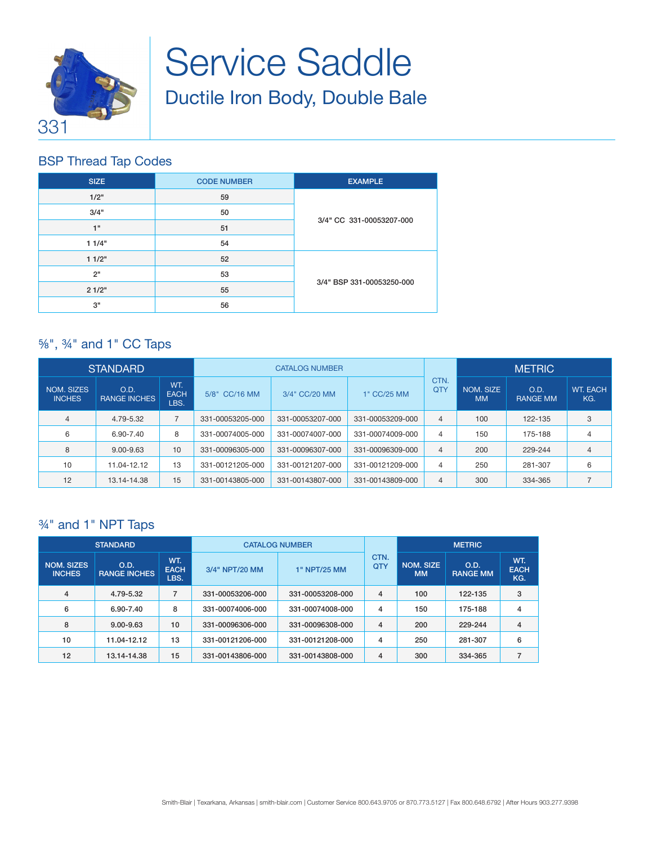

# Service Saddle Ductile Iron Body, Double Bale

# BSP Thread Tap Codes

| <b>SIZE</b> | <b>CODE NUMBER</b> | <b>EXAMPLE</b>            |  |  |  |
|-------------|--------------------|---------------------------|--|--|--|
| 1/2"        | 59                 |                           |  |  |  |
| 3/4"        | 50                 |                           |  |  |  |
| 1"          | 51                 | 3/4" CC 331-00053207-000  |  |  |  |
| 11/4"       | 54                 |                           |  |  |  |
| 11/2"       | 52                 |                           |  |  |  |
| 2"          | 53                 |                           |  |  |  |
| 21/2"       | 55                 | 3/4" BSP 331-00053250-000 |  |  |  |
| 3"          | 56                 |                           |  |  |  |

# ⅝", ¾" and 1" CC Taps

| <b>STANDARD</b>             |                             |                            | <b>CATALOG NUMBER</b> |                  |                  |                    | <b>METRIC</b>          |                         |                        |
|-----------------------------|-----------------------------|----------------------------|-----------------------|------------------|------------------|--------------------|------------------------|-------------------------|------------------------|
| NOM. SIZES<br><b>INCHES</b> | O.D.<br><b>RANGE INCHES</b> | WT.<br><b>EACH</b><br>LBS. | 5/8" CC/16 MM         | 3/4" CC/20 MM    | 1" CC/25 MM      | CTN.<br><b>QTY</b> | NOM. SIZE<br><b>MM</b> | O.D.<br><b>RANGE MM</b> | <b>WT. EACH</b><br>KG. |
| $\overline{4}$              | 4.79-5.32                   |                            | 331-00053205-000      | 331-00053207-000 | 331-00053209-000 | $\overline{4}$     | 100                    | 122-135                 | 3                      |
| 6                           | 6.90-7.40                   | 8                          | 331-00074005-000      | 331-00074007-000 | 331-00074009-000 | 4                  | 150                    | 175-188                 | 4                      |
| 8                           | $9.00 - 9.63$               | 10                         | 331-00096305-000      | 331-00096307-000 | 331-00096309-000 | $\overline{4}$     | 200                    | 229-244                 | $\overline{4}$         |
| 10                          | 11.04-12.12                 | 13                         | 331-00121205-000      | 331-00121207-000 | 331-00121209-000 | 4                  | 250                    | 281-307                 | 6                      |
| 12                          | 13.14-14.38                 | 15                         | 331-00143805-000      | 331-00143807-000 | 331-00143809-000 | $\overline{4}$     | 300                    | 334-365                 |                        |

## ¾" and 1" NPT Taps

| <b>STANDARD</b>                    |                             |                            | <b>CATALOG NUMBER</b> |                  | <b>METRIC</b>      |                               |                         |                           |
|------------------------------------|-----------------------------|----------------------------|-----------------------|------------------|--------------------|-------------------------------|-------------------------|---------------------------|
| <b>NOM. SIZES</b><br><b>INCHES</b> | O.D.<br><b>RANGE INCHES</b> | WT.<br><b>EACH</b><br>LBS. | 3/4" NPT/20 MM        | 1" NPT/25 MM     | CTN.<br><b>QTY</b> | <b>NOM. SIZE</b><br><b>MM</b> | O.D.<br><b>RANGE MM</b> | WT.<br><b>EACH</b><br>KG. |
| $\overline{4}$                     | 4.79-5.32                   |                            | 331-00053206-000      | 331-00053208-000 | 4                  | 100                           | 122-135                 | 3                         |
| 6                                  | 6.90-7.40                   | 8                          | 331-00074006-000      | 331-00074008-000 | 4                  | 150                           | 175-188                 | 4                         |
| 8                                  | $9.00 - 9.63$               | 10                         | 331-00096306-000      | 331-00096308-000 | 4                  | 200                           | 229-244                 | 4                         |
| 10                                 | 11.04-12.12                 | 13                         | 331-00121206-000      | 331-00121208-000 | 4                  | 250                           | 281-307                 | 6                         |
| 12                                 | 13.14-14.38                 | 15                         | 331-00143806-000      | 331-00143808-000 | 4                  | 300                           | 334-365                 | $\overline{ }$            |